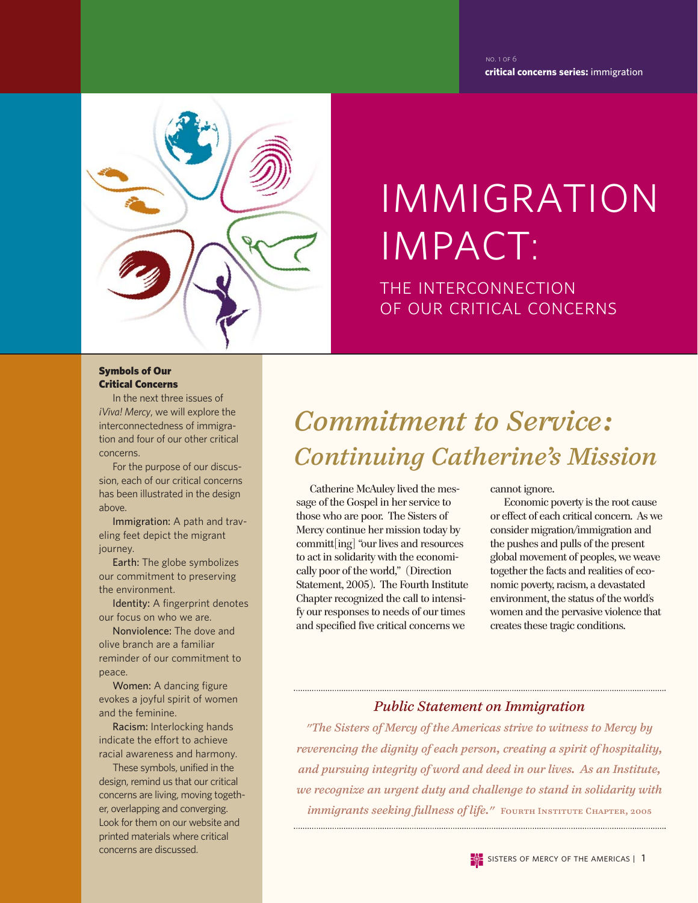**critical concerns series:** immigration no. 1 of 6



# immigration impact:

the interconnection of our critical concerns

#### Symbols of Our Critical Concerns

In the next three issues of *¡Viva! Mercy*, we will explore the interconnectedness of immigration and four of our other critical concerns.

For the purpose of our discussion, each of our critical concerns has been illustrated in the design above.

Immigration: A path and traveling feet depict the migrant journey.

Earth: The globe symbolizes our commitment to preserving the environment.

Identity: A fingerprint denotes our focus on who we are.

Nonviolence: The dove and olive branch are a familiar reminder of our commitment to peace.

Women: A dancing figure evokes a joyful spirit of women and the feminine.

Racism: Interlocking hands indicate the effort to achieve racial awareness and harmony.

These symbols, unified in the design, remind us that our critical concerns are living, moving together, overlapping and converging. Look for them on our website and printed materials where critical concerns are discussed.

## *Commitment to Service: Continuing Catherine's Mission*

Catherine McAuley lived the message of the Gospel in her service to those who are poor. The Sisters of Mercy continue her mission today by committ[ing] "our lives and resources to act in solidarity with the economically poor of the world," (Direction Statement, 2005). The Fourth Institute Chapter recognized the call to intensify our responses to needs of our times and specified five critical concerns we

cannot ignore.

Economic poverty is the root cause or effect of each critical concern. As we consider migration/immigration and the pushes and pulls of the present global movement of peoples, we weave together the facts and realities of economic poverty, racism, a devastated environment, the status of the world's women and the pervasive violence that creates these tragic conditions.

#### *Public Statement on Immigration*

*"The Sisters of Mercy of the Americas strive to witness to Mercy by reverencing the dignity of each person, creating a spirit of hospitality, and pursuing integrity of word and deed in our lives. As an Institute, we recognize an urgent duty and challenge to stand in solidarity with immigrants seeking fullness of life.*" FOURTH INSTITUTE CHAPTER, 2005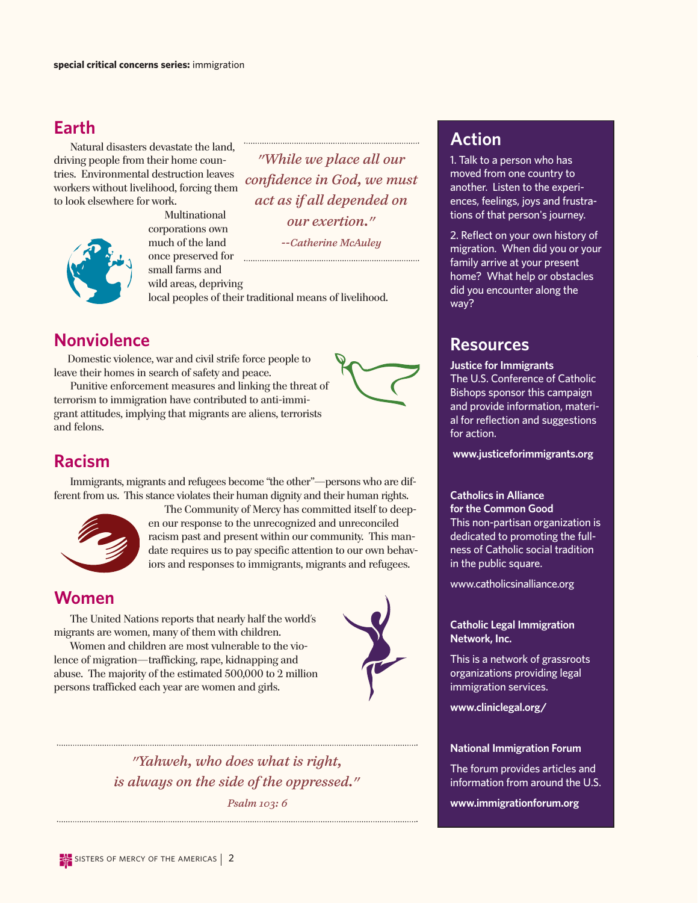#### **Earth**

Natural disasters devastate the land, driving people from their home countries. Environmental destruction leaves workers without livelihood, forcing them to look elsewhere for work.



Multinational corporations own much of the land once preserved for **manual contract of the contract of the contract of the contract of the contract of the contract of the contract of the contract of the contract of the contract of the contract of the contract of the con** small farms and wild areas, depriving

*"While we place all our confidence in God, we must act as if all depended on our exertion."*

*--Catherine McAuley*

local peoples of their traditional means of livelihood.

#### **Nonviolence**

Domestic violence, war and civil strife force people to leave their homes in search of safety and peace.

Punitive enforcement measures and linking the threat of terrorism to immigration have contributed to anti-immigrant attitudes, implying that migrants are aliens, terrorists and felons.



Immigrants, migrants and refugees become "the other"—persons who are different from us. This stance violates their human dignity and their human rights.



The Community of Mercy has committed itself to deepen our response to the unrecognized and unreconciled racism past and present within our community. This mandate requires us to pay specific attention to our own behaviors and responses to immigrants, migrants and refugees.

#### **Women**

The United Nations reports that nearly half the world's migrants are women, many of them with children.

Women and children are most vulnerable to the violence of migration—trafficking, rape, kidnapping and abuse. The majority of the estimated 500,000 to 2 million persons trafficked each year are women and girls.



*"Yahweh, who does what is right, is always on the side of the oppressed." Psalm 103: 6*

#### **Action**

1. Talk to a person who has moved from one country to another. Listen to the experiences, feelings, joys and frustrations of that person's journey.

2. Reflect on your own history of migration. When did you or your family arrive at your present home? What help or obstacles did you encounter along the way?

#### **Resources**

**Justice for Immigrants** The U.S. Conference of Catholic Bishops sponsor this campaign and provide information, material for reflection and suggestions for action.

**www.justiceforimmigrants.org**

#### **Catholics in Alliance for the Common Good**

This non-partisan organization is dedicated to promoting the fullness of Catholic social tradition in the public square.

www.catholicsinalliance.org

#### **Catholic Legal Immigration Network, Inc.**

This is a network of grassroots organizations providing legal immigration services.

**www.cliniclegal.org/**

#### **National Immigration Forum**

The forum provides articles and information from around the U.S.

**www.immigrationforum.org**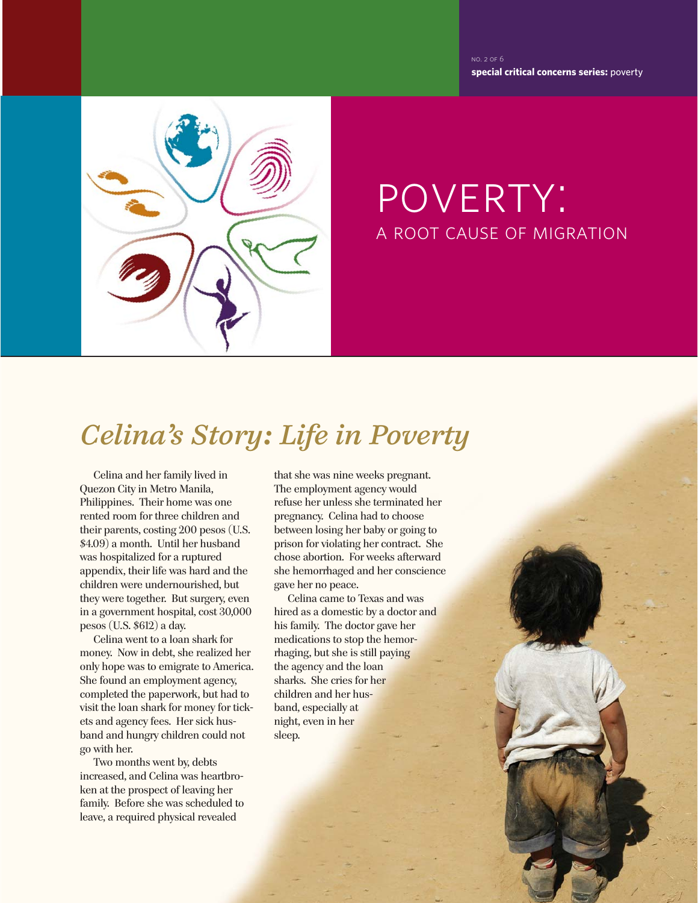**special critical concerns series:** poverty no. 2 of 6



## poverty: a root cause of migration

## *Celina's Story: Life in Poverty*

Celina and her family lived in Quezon City in Metro Manila, Philippines. Their home was one rented room for three children and their parents, costing 200 pesos (U.S. \$4.09) a month. Until her husband was hospitalized for a ruptured appendix, their life was hard and the children were undernourished, but they were together. But surgery, even in a government hospital, cost 30,000 pesos (U.S. \$612) a day.

Celina went to a loan shark for money. Now in debt, she realized her only hope was to emigrate to America. She found an employment agency, completed the paperwork, but had to visit the loan shark for money for tickets and agency fees. Her sick husband and hungry children could not go with her.

Two months went by, debts increased, and Celina was heartbroken at the prospect of leaving her family. Before she was scheduled to leave, a required physical revealed

that she was nine weeks pregnant. The employment agency would refuse her unless she terminated her pregnancy. Celina had to choose between losing her baby or going to prison for violating her contract. She chose abortion. For weeks afterward she hemorrhaged and her conscience gave her no peace.

Celina came to Texas and was hired as a domestic by a doctor and his family. The doctor gave her medications to stop the hemorrhaging, but she is still paying the agency and the loan sharks. She cries for her children and her husband, especially at night, even in her sleep.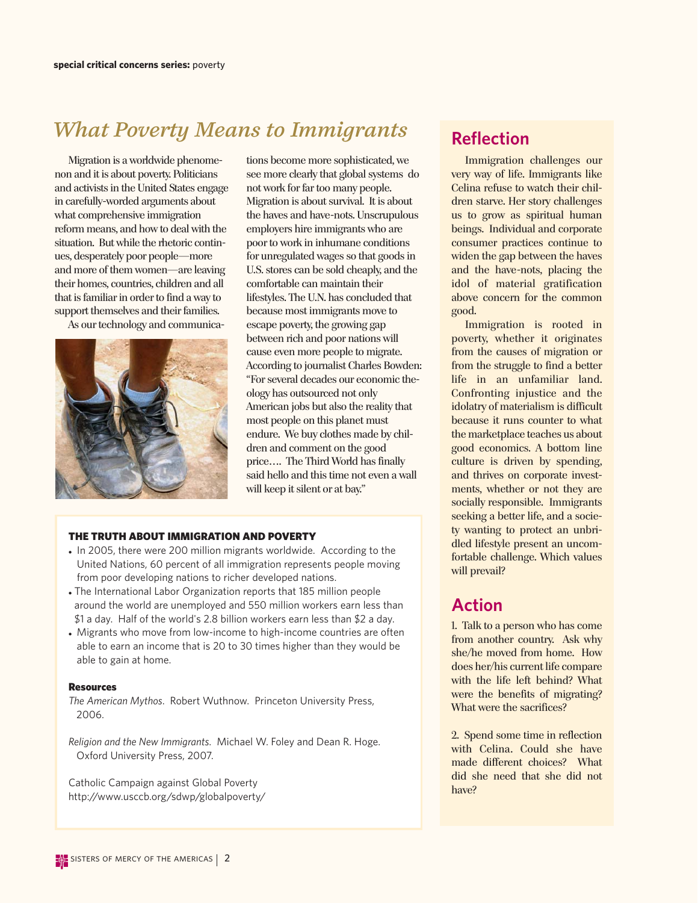## *What Poverty Means to Immigrants*

Migration is a worldwide phenomenon and it is about poverty. Politicians and activists in the United States engage in carefully-worded arguments about what comprehensive immigration reform means, and how to deal with the situation. But while the rhetoric continues, desperately poor people—more and more of them women—are leaving their homes, countries, children and all that is familiar in order to find a way to support themselves and their families.

As our technology and communica-



tions become more sophisticated, we see more clearly that global systems do not work for far too many people. Migration is about survival. It is about the haves and have-nots. Unscrupulous employers hire immigrants who are poor to work in inhumane conditions for unregulated wages so that goods in U.S. stores can be sold cheaply, and the comfortable can maintain their lifestyles. The U.N. has concluded that because most immigrants move to escape poverty, the growing gap between rich and poor nations will cause even more people to migrate. According to journalist Charles Bowden: "For several decades our economic theology has outsourced not only American jobs but also the reality that most people on this planet must endure. We buy clothes made by children and comment on the good price…. The Third World has finally said hello and this time not even a wall will keep it silent or at bay."

#### THE TRUTH ABOUT IMMIGRATION AND POVERTY

- In 2005, there were 200 million migrants worldwide. According to the United Nations, 60 percent of all immigration represents people moving from poor developing nations to richer developed nations.
- The International Labor Organization reports that 185 million people around the world are unemployed and 550 million workers earn less than \$1 a day. Half of the world's 2.8 billion workers earn less than \$2 a day.
- Migrants who move from low-income to high-income countries are often able to earn an income that is 20 to 30 times higher than they would be able to gain at home.

#### Resources

*The American Mythos*. Robert Wuthnow. Princeton University Press, 2006.

*Religion and the New Immigrants*. Michael W. Foley and Dean R. Hoge. Oxford University Press, 2007.

Catholic Campaign against Global Poverty http://www.usccb.org/sdwp/globalpoverty/

#### **Reflection**

Immigration challenges our very way of life. Immigrants like Celina refuse to watch their children starve. Her story challenges us to grow as spiritual human beings. Individual and corporate consumer practices continue to widen the gap between the haves and the have-nots, placing the idol of material gratification above concern for the common good.

Immigration is rooted in poverty, whether it originates from the causes of migration or from the struggle to find a better life in an unfamiliar land. Confronting injustice and the idolatry of materialism is difficult because it runs counter to what the marketplace teaches us about good economics. A bottom line culture is driven by spending, and thrives on corporate investments, whether or not they are socially responsible. Immigrants seeking a better life, and a society wanting to protect an unbridled lifestyle present an uncomfortable challenge. Which values will prevail?

#### **Action**

1. Talk to a person who has come from another country. Ask why she/he moved from home. How does her/his current life compare with the life left behind? What were the benefits of migrating? What were the sacrifices?

2. Spend some time in reflection with Celina. Could she have made different choices? What did she need that she did not have?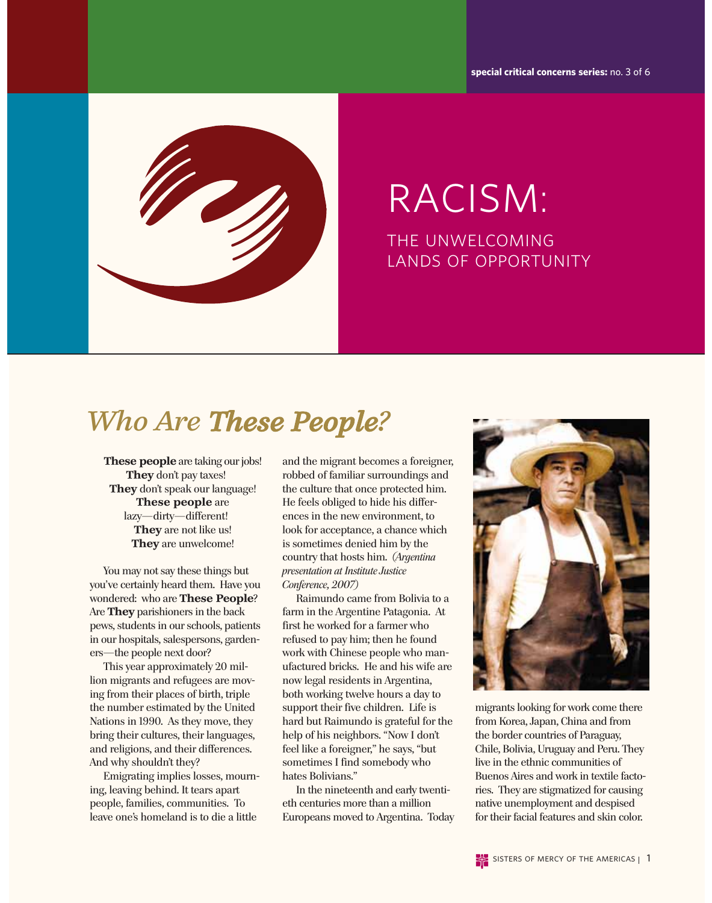**special critical concerns series:** no. 3 of 6



## racism: the unwelcoming lands of opportunity

## *Who Are These People?*

**These people** are taking our jobs! **They** don't pay taxes! **They** don't speak our language! **These people** are lazy—dirty—different! **They** are not like us! **They** are unwelcome!

You may not say these things but you've certainly heard them. Have you wondered: who are **These People**? Are **They** parishioners in the back pews, students in our schools, patients in our hospitals, salespersons, gardeners—the people next door?

This year approximately 20 million migrants and refugees are moving from their places of birth, triple the number estimated by the United Nations in 1990. As they move, they bring their cultures, their languages, and religions, and their differences. And why shouldn't they?

Emigrating implies losses, mourning, leaving behind. It tears apart people, families, communities. To leave one's homeland is to die a little

and the migrant becomes a foreigner, robbed of familiar surroundings and the culture that once protected him. He feels obliged to hide his differences in the new environment, to look for acceptance, a chance which is sometimes denied him by the country that hosts him. *(Argentina presentation at Institute Justice Conference, 2007)*

Raimundo came from Bolivia to a farm in the Argentine Patagonia. At first he worked for a farmer who refused to pay him; then he found work with Chinese people who manufactured bricks. He and his wife are now legal residents in Argentina, both working twelve hours a day to support their five children. Life is hard but Raimundo is grateful for the help of his neighbors. "Now I don't feel like a foreigner," he says, "but sometimes I find somebody who hates Bolivians."

In the nineteenth and early twentieth centuries more than a million Europeans moved to Argentina. Today



migrants looking for work come there from Korea, Japan, China and from the border countries of Paraguay, Chile, Bolivia, Uruguay and Peru. They live in the ethnic communities of Buenos Aires and work in textile factories. They are stigmatized for causing native unemployment and despised for their facial features and skin color.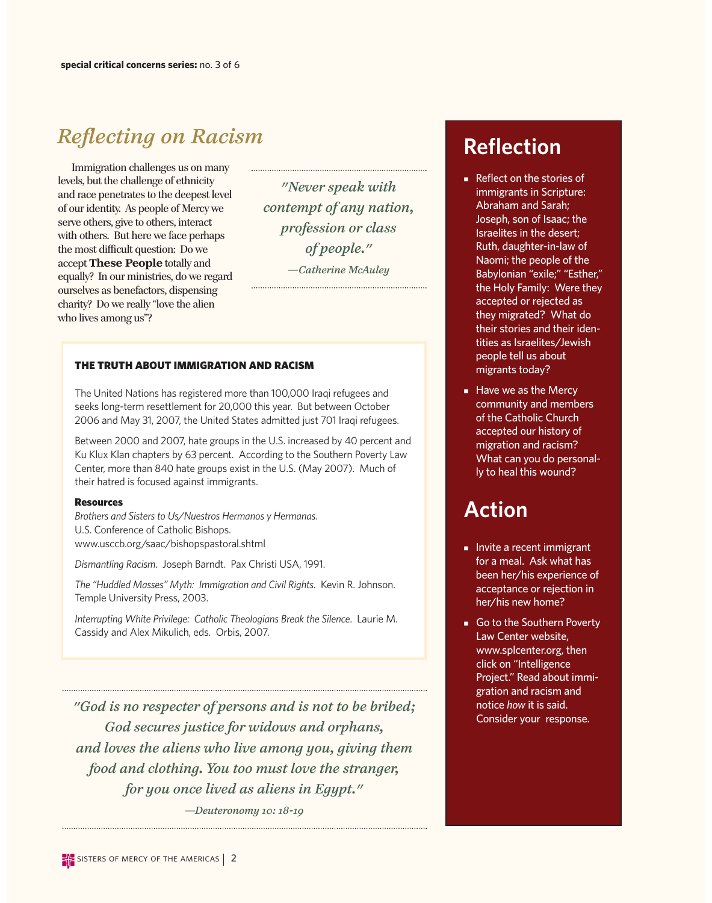### *Reflecting on Racism*

Immigration challenges us on many levels, but the challenge of ethnicity and race penetrates to the deepest level of our identity. As people of Mercy we serve others, give to others, interact with others. But here we face perhaps the most difficult question: Do we accept **These People** totally and equally? In our ministries, do we regard ourselves as benefactors, dispensing charity? Do we really "love the alien who lives among us"?

*"Never speak with contempt of any nation, profession or class of people." —Catherine McAuley*

#### THE TRUTH ABOUT IMMIGRATION AND RACISM

The United Nations has registered more than 100,000 Iraqi refugees and seeks long-term resettlement for 20,000 this year. But between October 2006 and May 31, 2007, the United States admitted just 701 Iraqi refugees.

Between 2000 and 2007, hate groups in the U.S. increased by 40 percent and Ku Klux Klan chapters by 63 percent. According to the Southern Poverty Law Center, more than 840 hate groups exist in the U.S. (May 2007). Much of their hatred is focused against immigrants.

#### Resources

*Brothers and Sisters to Us/Nuestros Hermanos y Hermanas*. U.S. Conference of Catholic Bishops. www.usccb.org/saac/bishopspastoral.shtml

*Dismantling Racism*. Joseph Barndt. Pax Christi USA, 1991.

*The "Huddled Masses" Myth: Immigration and Civil Rights*. Kevin R. Johnson. Temple University Press, 2003.

*Interrupting White Privilege: Catholic Theologians Break the Silence*. Laurie M. Cassidy and Alex Mikulich, eds. Orbis, 2007.

*"God is no respecter of persons and is not to be bribed; God secures justice for widows and orphans, and loves the aliens who live among you, giving them food and clothing. You too must love the stranger, for you once lived as aliens in Egypt."*

*—Deuteronomy 10: 18-19*

### **Reflection**

- $\blacksquare$  Reflect on the stories of immigrants in Scripture: Abraham and Sarah; Joseph, son of Isaac; the Israelites in the desert; Ruth, daughter-in-law of Naomi; the people of the Babylonian "exile;" "Esther," the Holy Family: Were they accepted or rejected as they migrated? What do their stories and their identities as Israelites/Jewish people tell us about migrants today?
- Have we as the Mercy community and members of the Catholic Church accepted our history of migration and racism? What can you do personally to heal this wound?

### **Action**

- Invite a recent immigrant for a meal. Ask what has been her/his experience of acceptance or rejection in her/his new home?
- Go to the Southern Poverty Law Center website, www.splcenter.org, then click on "Intelligence Project." Read about immigration and racism and notice *how* it is said. Consider your response.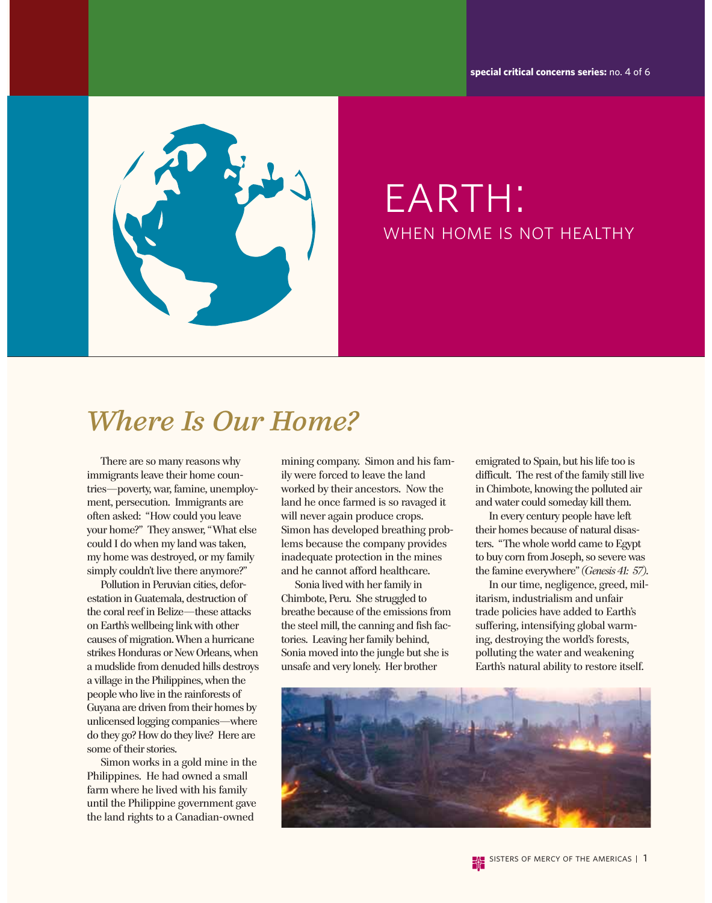**special critical concerns series:** no. 4 of 6



## EARTH: when home is not healthy

## *Where Is Our Home?*

There are so many reasons why immigrants leave their home countries—poverty, war, famine, unemployment, persecution. Immigrants are often asked: "How could you leave your home?" They answer, " What else could I do when my land was taken, my home was destroyed, or my family simply couldn't live there anymore?"

Pollution in Peruvian cities, deforestation in Guatemala, destruction of the coral reef in Belize—these attacks on Earth's wellbeing link with other causes of migration. When a hurricane strikes Honduras or New Orleans, when a mudslide from denuded hills destroys a village in the Philippines, when the people who live in the rainforests of Guyana are driven from their homes by unlicensed logging companies—where do they go? How do they live? Here are some of their stories.

Simon works in a gold mine in the Philippines. He had owned a small farm where he lived with his family until the Philippine government gave the land rights to a Canadian-owned

mining company. Simon and his family were forced to leave the land worked by their ancestors. Now the land he once farmed is so ravaged it will never again produce crops. Simon has developed breathing problems because the company provides inadequate protection in the mines and he cannot afford healthcare.

Sonia lived with her family in Chimbote, Peru. She struggled to breathe because of the emissions from the steel mill, the canning and fish factories. Leaving her family behind, Sonia moved into the jungle but she is unsafe and very lonely. Her brother

emigrated to Spain, but his life too is difficult. The rest of the family still live in Chimbote, knowing the polluted air and water could someday kill them.

In every century people have left their homes because of natural disasters. "The whole world came to Egypt to buy corn from Joseph, so severe was the famine everywhere" *(Genesis 41: 57)*.

In our time, negligence, greed, militarism, industrialism and unfair trade policies have added to Earth's suffering, intensifying global warming, destroying the world's forests, polluting the water and weakening Earth's natural ability to restore itself.

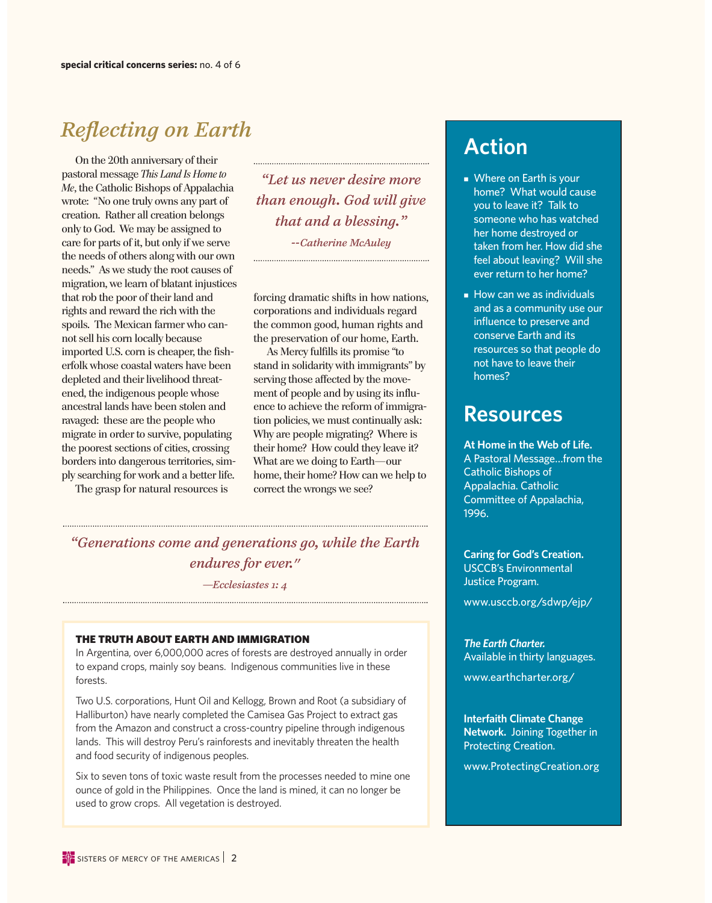### *Reflecting on Earth*

On the 20th anniversary of their pastoral message *This Land Is Home to Me*, the Catholic Bishops of Appalachia wrote: "No one truly owns any part of creation. Rather all creation belongs only to God. We may be assigned to care for parts of it, but only if we serve the needs of others along with our own needs." As we study the root causes of migration, we learn of blatant injustices that rob the poor of their land and rights and reward the rich with the spoils. The Mexican farmer who cannot sell his corn locally because imported U.S. corn is cheaper, the fisherfolk whose coastal waters have been depleted and their livelihood threatened, the indigenous people whose ancestral lands have been stolen and ravaged: these are the people who migrate in order to survive, populating the poorest sections of cities, crossing borders into dangerous territories, simply searching for work and a better life.

The grasp for natural resources is

*"Let us never desire more than enough. God will give that and a blessing." --Catherine McAuley*

forcing dramatic shifts in how nations, corporations and individuals regard the common good, human rights and the preservation of our home, Earth.

As Mercy fulfills its promise "to stand in solidarity with immigrants" by serving those affected by the movement of people and by using its influence to achieve the reform of immigration policies, we must continually ask: Why are people migrating? Where is their home? How could they leave it? What are we doing to Earth—our home, their home? How can we help to correct the wrongs we see?

#### *"Generations come and generations go, while the Earth endures for ever."*

*—Ecclesiastes 1: 4*

#### THE TRUTH ABOUT EARTH AND IMMIGRATION

In Argentina, over 6,000,000 acres of forests are destroyed annually in order to expand crops, mainly soy beans. Indigenous communities live in these forests.

Two U.S. corporations, Hunt Oil and Kellogg, Brown and Root (a subsidiary of Halliburton) have nearly completed the Camisea Gas Project to extract gas from the Amazon and construct a cross-country pipeline through indigenous lands. This will destroy Peru's rainforests and inevitably threaten the health and food security of indigenous peoples.

Six to seven tons of toxic waste result from the processes needed to mine one ounce of gold in the Philippines. Once the land is mined, it can no longer be used to grow crops. All vegetation is destroyed.

### **Action**

- $\blacksquare$  Where on Earth is your home? What would cause you to leave it? Talk to someone who has watched her home destroyed or taken from her. How did she feel about leaving? Will she ever return to her home?
- $\blacksquare$  How can we as individuals and as a community use our influence to preserve and conserve Earth and its resources so that people do not have to leave their homes?

### **Resources**

**At Home in the Web of Life.** A Pastoral Message…from the Catholic Bishops of Appalachia. Catholic Committee of Appalachia, 1996.

**Caring for God's Creation.** USCCB's Environmental Justice Program.

www.usccb.org/sdwp/ejp/

*The Earth Charter.*  Available in thirty languages.

www.earthcharter.org/

**Interfaith Climate Change Network.** Joining Together in Protecting Creation.

www.ProtectingCreation.org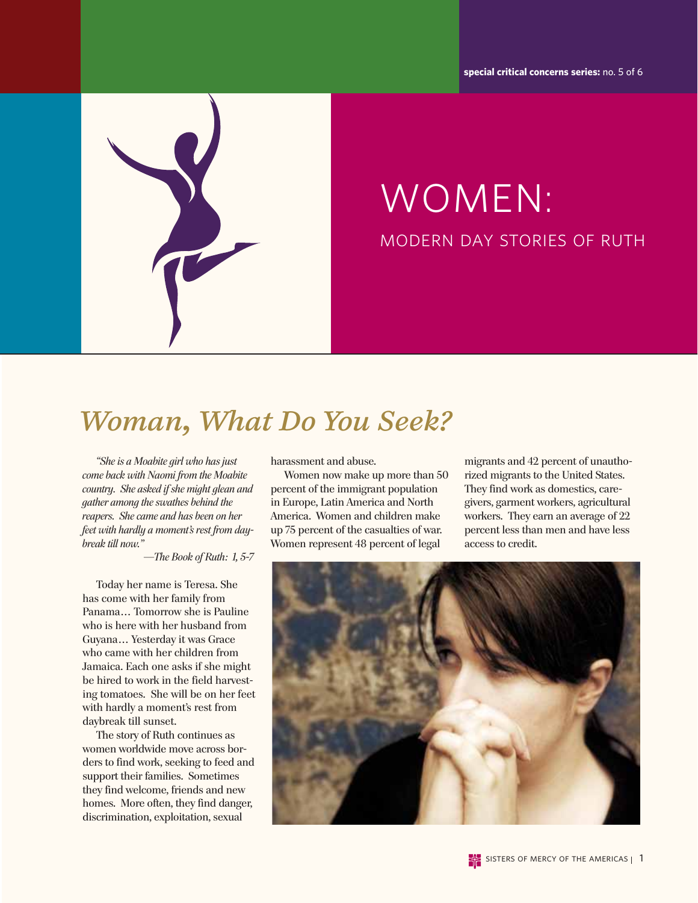**special critical concerns series:** no. 5 of 6



# WOMEN: modern day stories of ruth

## *Woman, What Do You Seek?*

*"She is a Moabite girl who has just come back with Naomi from the Moabite country. She asked if she might glean and gather among the swathes behind the reapers. She came and has been on her feet with hardly a moment's rest from daybreak till now."* 

—*The Book of Ruth: 1, 5-7*

Today her name is Teresa. She has come with her family from Panama… Tomorrow she is Pauline who is here with her husband from Guyana… Yesterday it was Grace who came with her children from Jamaica. Each one asks if she might be hired to work in the field harvesting tomatoes. She will be on her feet with hardly a moment's rest from daybreak till sunset.

The story of Ruth continues as women worldwide move across borders to find work, seeking to feed and support their families. Sometimes they find welcome, friends and new homes. More often, they find danger, discrimination, exploitation, sexual

harassment and abuse.

Women now make up more than 50 percent of the immigrant population in Europe, Latin America and North America. Women and children make up 75 percent of the casualties of war. Women represent 48 percent of legal

migrants and 42 percent of unauthorized migrants to the United States. They find work as domestics, caregivers, garment workers, agricultural workers. They earn an average of 22 percent less than men and have less access to credit.

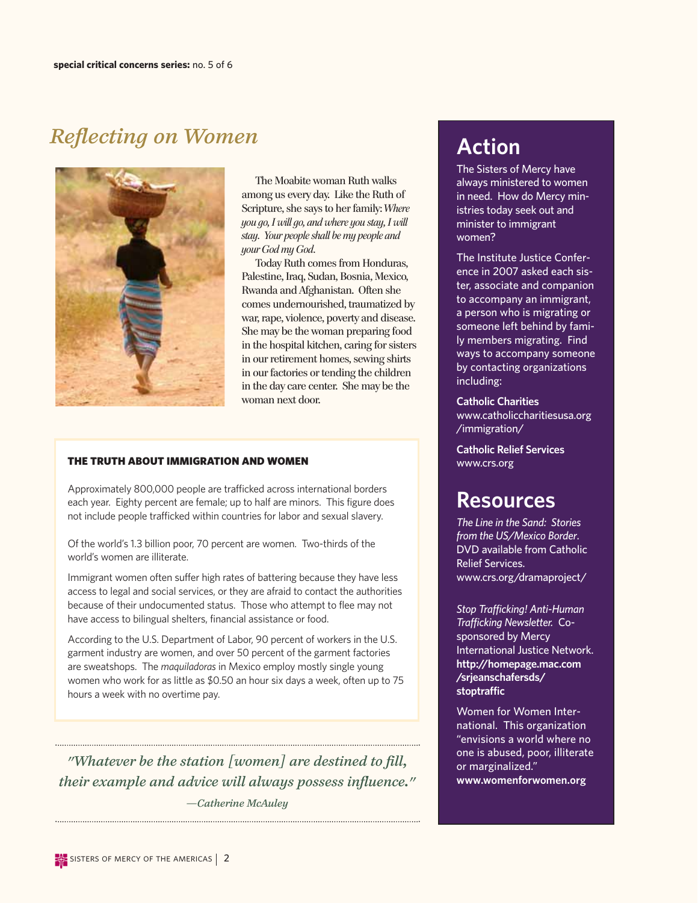## *Reflecting on Women*



The Moabite woman Ruth walks among us every day. Like the Ruth of Scripture, she says to her family: *Where you go, I will go, and where you stay, I will stay. Your people shall be my people and your God my God.*

Today Ruth comes from Honduras, Palestine, Iraq, Sudan, Bosnia, Mexico, Rwanda and Afghanistan. Often she comes undernourished, traumatized by war, rape, violence, poverty and disease. She may be the woman preparing food in the hospital kitchen, caring for sisters in our retirement homes, sewing shirts in our factories or tending the children in the day care center. She may be the woman next door.

#### THE TRUTH ABOUT IMMIGRATION AND WOMEN

Approximately 800,000 people are trafficked across international borders each year. Eighty percent are female; up to half are minors. This figure does not include people trafficked within countries for labor and sexual slavery.

Of the world's 1.3 billion poor, 70 percent are women. Two-thirds of the world's women are illiterate.

Immigrant women often suffer high rates of battering because they have less access to legal and social services, or they are afraid to contact the authorities because of their undocumented status. Those who attempt to flee may not have access to bilingual shelters, financial assistance or food.

According to the U.S. Department of Labor, 90 percent of workers in the U.S. garment industry are women, and over 50 percent of the garment factories are sweatshops. The *maquiladoras* in Mexico employ mostly single young women who work for as little as \$0.50 an hour six days a week, often up to 75 hours a week with no overtime pay.

*"Whatever be the station [women] are destined to fill, their example and advice will always possess influence." —Catherine McAuley*

### **Action**

The Sisters of Mercy have always ministered to women in need. How do Mercy ministries today seek out and minister to immigrant women?

The Institute Justice Conference in 2007 asked each sister, associate and companion to accompany an immigrant, a person who is migrating or someone left behind by family members migrating. Find ways to accompany someone by contacting organizations including:

**Catholic Charities** www.catholiccharitiesusa.org /immigration/

**Catholic Relief Services** www.crs.org

#### **Resources**

*The Line in the Sand: Stories from the US/Mexico Border*. DVD available from Catholic Relief Services. www.crs.org/dramaproject/

*Stop Trafficking! Anti-Human Trafficking Newsletter.* Cosponsored by Mercy International Justice Network. **http://homepage.mac.com /srjeanschafersds/ stoptraffic**

Women for Women International. This organization "envisions a world where no one is abused, poor, illiterate or marginalized." **www.womenforwomen.org**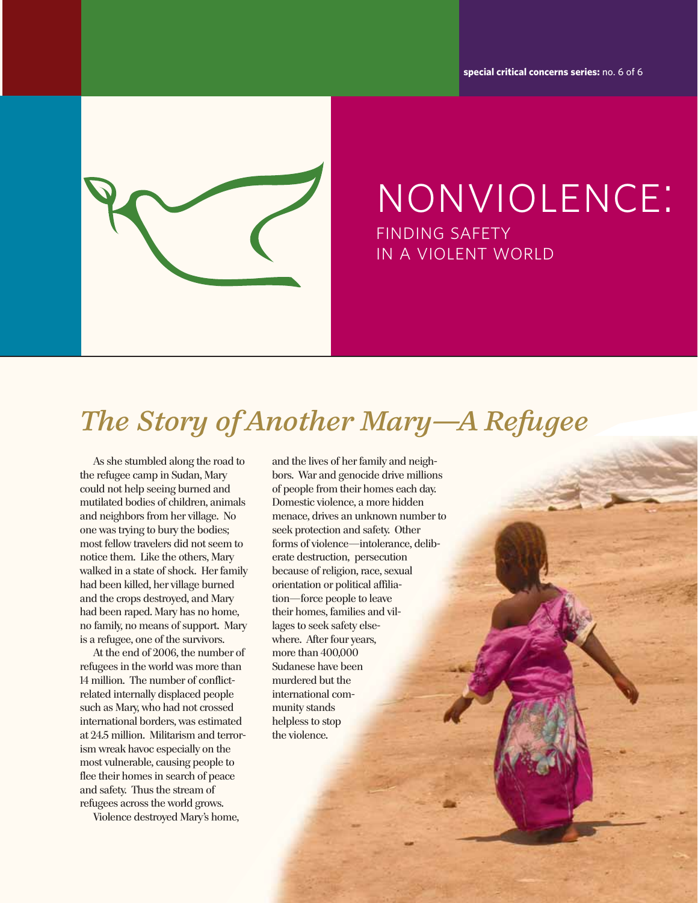**special critical concerns series:** no. 6 of 6



nonviolence: finding safety in a violent world

## *The Story of Another Mary—A Refugee*

As she stumbled along the road to the refugee camp in Sudan, Mary could not help seeing burned and mutilated bodies of children, animals and neighbors from her village. No one was trying to bury the bodies; most fellow travelers did not seem to notice them. Like the others, Mary walked in a state of shock. Her family had been killed, her village burned and the crops destroyed, and Mary had been raped. Mary has no home, no family, no means of support. Mary is a refugee, one of the survivors.

At the end of 2006, the number of refugees in the world was more than 14 million. The number of conflictrelated internally displaced people such as Mary, who had not crossed international borders, was estimated at 24.5 million. Militarism and terrorism wreak havoc especially on the most vulnerable, causing people to flee their homes in search of peace and safety. Thus the stream of refugees across the world grows.

Violence destroyed Mary's home,

and the lives of her family and neighbors. War and genocide drive millions of people from their homes each day. Domestic violence, a more hidden menace, drives an unknown number to seek protection and safety. Other forms of violence—intolerance, deliberate destruction, persecution because of religion, race, sexual orientation or political affiliation—force people to leave their homes, families and villages to seek safety elsewhere. After four years, more than 400,000 Sudanese have been murdered but the international community stands helpless to stop the violence.